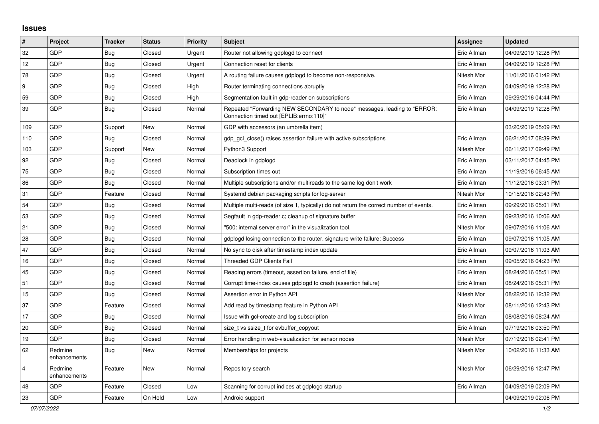## **Issues**

| $\pmb{\sharp}$ | Project                 | <b>Tracker</b> | <b>Status</b> | <b>Priority</b> | <b>Subject</b>                                                                                                      | <b>Assignee</b> | <b>Updated</b>      |
|----------------|-------------------------|----------------|---------------|-----------------|---------------------------------------------------------------------------------------------------------------------|-----------------|---------------------|
| 32             | GDP                     | Bug            | Closed        | Urgent          | Router not allowing gdplogd to connect                                                                              | Eric Allman     | 04/09/2019 12:28 PM |
| 12             | GDP                     | <b>Bug</b>     | Closed        | Urgent          | Connection reset for clients                                                                                        | Eric Allman     | 04/09/2019 12:28 PM |
| 78             | GDP                     | <b>Bug</b>     | Closed        | Urgent          | A routing failure causes gdplogd to become non-responsive.                                                          | Nitesh Mor      | 11/01/2016 01:42 PM |
| 9              | <b>GDP</b>              | Bug            | Closed        | High            | Router terminating connections abruptly                                                                             | Eric Allman     | 04/09/2019 12:28 PM |
| 59             | GDP                     | <b>Bug</b>     | Closed        | High            | Segmentation fault in gdp-reader on subscriptions                                                                   | Eric Allman     | 09/29/2016 04:44 PM |
| 39             | GDP                     | <b>Bug</b>     | Closed        | Normal          | Repeated "Forwarding NEW SECONDARY to node" messages, leading to "ERROR:<br>Connection timed out [EPLIB:errno:110]" | Eric Allman     | 04/09/2019 12:28 PM |
| 109            | GDP                     | Support        | New           | Normal          | GDP with accessors (an umbrella item)                                                                               |                 | 03/20/2019 05:09 PM |
| 110            | GDP                     | <b>Bug</b>     | Closed        | Normal          | gdp gcl close() raises assertion failure with active subscriptions                                                  | Eric Allman     | 06/21/2017 08:39 PM |
| 103            | GDP                     | Support        | New           | Normal          | Python3 Support                                                                                                     | Nitesh Mor      | 06/11/2017 09:49 PM |
| 92             | GDP                     | Bug            | Closed        | Normal          | Deadlock in gdplogd                                                                                                 | Eric Allman     | 03/11/2017 04:45 PM |
| 75             | GDP                     | Bug            | Closed        | Normal          | Subscription times out                                                                                              | Eric Allman     | 11/19/2016 06:45 AM |
| 86             | GDP                     | <b>Bug</b>     | Closed        | Normal          | Multiple subscriptions and/or multireads to the same log don't work                                                 | Eric Allman     | 11/12/2016 03:31 PM |
| 31             | GDP                     | Feature        | Closed        | Normal          | Systemd debian packaging scripts for log-server                                                                     | Nitesh Mor      | 10/15/2016 02:43 PM |
| 54             | <b>GDP</b>              | <b>Bug</b>     | Closed        | Normal          | Multiple multi-reads (of size 1, typically) do not return the correct number of events.                             | Eric Allman     | 09/29/2016 05:01 PM |
| 53             | <b>GDP</b>              | <b>Bug</b>     | Closed        | Normal          | Segfault in gdp-reader.c; cleanup of signature buffer                                                               | Eric Allman     | 09/23/2016 10:06 AM |
| 21             | GDP                     | Bug            | Closed        | Normal          | '500: internal server error" in the visualization tool.                                                             | Nitesh Mor      | 09/07/2016 11:06 AM |
| 28             | <b>GDP</b>              | <b>Bug</b>     | Closed        | Normal          | gdplogd losing connection to the router. signature write failure: Success                                           | Eric Allman     | 09/07/2016 11:05 AM |
| 47             | GDP                     | <b>Bug</b>     | Closed        | Normal          | No sync to disk after timestamp index update                                                                        | Eric Allman     | 09/07/2016 11:03 AM |
| 16             | GDP                     | Bug            | Closed        | Normal          | <b>Threaded GDP Clients Fail</b>                                                                                    | Eric Allman     | 09/05/2016 04:23 PM |
| 45             | GDP                     | <b>Bug</b>     | Closed        | Normal          | Reading errors (timeout, assertion failure, end of file)                                                            | Eric Allman     | 08/24/2016 05:51 PM |
| 51             | GDP                     | Bug            | Closed        | Normal          | Corrupt time-index causes gdplogd to crash (assertion failure)                                                      | Eric Allman     | 08/24/2016 05:31 PM |
| 15             | GDP                     | <b>Bug</b>     | Closed        | Normal          | Assertion error in Python API                                                                                       | Nitesh Mor      | 08/22/2016 12:32 PM |
| 37             | GDP                     | Feature        | Closed        | Normal          | Add read by timestamp feature in Python API                                                                         | Nitesh Mor      | 08/11/2016 12:43 PM |
| 17             | <b>GDP</b>              | <b>Bug</b>     | Closed        | Normal          | Issue with gcl-create and log subscription                                                                          | Eric Allman     | 08/08/2016 08:24 AM |
| 20             | GDP                     | Bug            | Closed        | Normal          | size_t vs ssize_t for evbuffer_copyout                                                                              | Eric Allman     | 07/19/2016 03:50 PM |
| 19             | GDP                     | <b>Bug</b>     | Closed        | Normal          | Error handling in web-visualization for sensor nodes                                                                | Nitesh Mor      | 07/19/2016 02:41 PM |
| 62             | Redmine<br>enhancements | Bug            | New           | Normal          | Memberships for projects                                                                                            | Nitesh Mor      | 10/02/2016 11:33 AM |
| $\overline{4}$ | Redmine<br>enhancements | Feature        | <b>New</b>    | Normal          | Repository search                                                                                                   | Nitesh Mor      | 06/29/2016 12:47 PM |
| 48             | GDP                     | Feature        | Closed        | Low             | Scanning for corrupt indices at gdplogd startup                                                                     | Eric Allman     | 04/09/2019 02:09 PM |
| 23             | GDP                     | Feature        | On Hold       | Low             | Android support                                                                                                     |                 | 04/09/2019 02:06 PM |